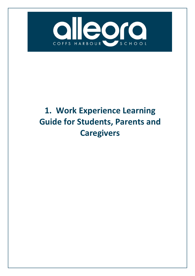

# **1. Work Experience Learning Guide for Students, Parents and Caregivers**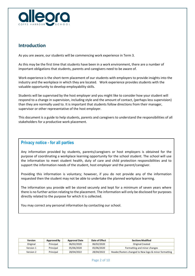

# **Introduction**

As you are aware, our students will be commencing work experience in Term 3.

As this may be the first time that students have been in a work environment, there are a number of important obligations that students, parents and caregivers need to be aware of.

Work experience is the short-term placement of our students with employers to provide insights into the industry and the workplace in which they are located. Work experience provides students with the valuable opportunity to develop employability skills.

Students will be supervised by the host employer and you might like to consider how your student will respond to a change in supervision, including style and the amount of contact, (perhaps less supervision) than they are normally used to. It is important that students follow directions from their manager, supervisor or other representative of the host employer.

This document is a guide to help students, parents and caregivers to understand the responsibilities of all stakeholders for a productive work placement.

# **Version Approved By Approval Date Date of Privacy notice - for all parties**

Any information provided by students, parents/caregivers or host employers is obtained for the purpose of coordinating a workplace learning opportunity for the school student. The school will use the information to meet student health, duty of care and child protection responsibilities and to support the information needs of the student, host employer and the parent/caregiver.

Providing this information is voluntary; however, if you do not provide any of the information requested then the student may not be able to undertake the planned workplace learning.

The information you provide will be stored securely and kept for a minimum of seven years where there is no further action relating to the placement. The information will only be disclosed for purposes directly related to the purpose for which it is collected.

You may correct any personal information by contacting our school.

| <b>Version</b> | Approved By | <b>Approval Date</b> | Date of Effect | <b>Sections Modified</b>                              |
|----------------|-------------|----------------------|----------------|-------------------------------------------------------|
| Original       | Principal   | 06/02/2020           | 06/02/2020     | Original Created                                      |
| Version 1      | Principal   | 05/06/2020           | 05/06/2020     | Formatting and minor changes                          |
| Version 2      | Principal   | 28/04/2022           | 28/04/2022     | Header/footers changed to New logo & minor formatting |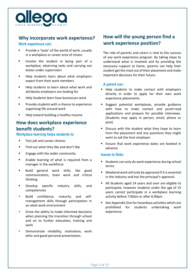

# **Why incorporate work experience?**

## **Work experience can:**

- **Provide a 'taste' of the world of work, usually** in a workplace or career area of choice
- **Involve the student in being part of a** workplace, observing tasks and carrying out duties under supervision
- Help students learn about what employers expect from their work members
- Help students to learn about what work and attributes employers are looking for
- **Help Students learn how businesses work**
- Provide students with a chance to experience organising life around work
- Help toward building a healthy resume

# **How does workplace experience benefit students?**

#### **Workplace learning helps students to**:

- **Test job and career choices**
- Find out what they like and don't like
- **Engage with the wider community**
- **Enable learning of what is required from a** manager in the workforce
- **Build general work skills, like good** communication, team work and critical thinking
- **Develop specific industry skills, and** competencies
- **Build confidence, maturity and self**management skills through participation in an adult work environment
- Grow the ability to make informed decisions when planning the transition through school and on to further education, training and work
- **Demonstrate reliability, motivation, work** ethic and good personal presentation.

# **How will the young person find a work experience position?**

The role of parents and carers is vital to the success of any work experience program. By taking steps to understand what is involved and by providing the necessary support at home, parents can help their student get the most out of their placement and make important decisions for their future.

#### **A parent can:**

- Help students to make contact with employers directly in order to apply for their own work experience placements.
- Suggest potential workplaces, provide guidance with how to make contact and proof-read applications and prepare for possible interviews. (Students may apply in person, email, phone or post)
- **Discuss with the student what they hope to learn** from the placement and any questions they might want to ask the host employer.
- **Ensure that work experience dates are booked in** advance.

#### **Issues to Note:**

- **Students can only do work experience during school** terms.
- Weekend work will only be approved if it is essential in the industry and has the principal's approval.
- All Students aged 14 years and over are eligible to participate, however students under the age of 15 years cannot participate in a workplace learning activity before 7:00am or after 6:00pm.
- See Appendix One for hazardous activities which are prohibited for students undertaking work experience.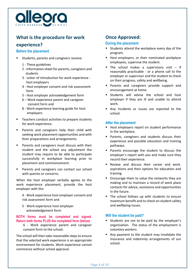

# **What is the procedure for work**

# **experience?**

## **Before the placement**

- Students, parents and caregivers receive:
	- 1 These guidelines
	- 2 Information sheet for parents, caregivers and students
	- 3 Letter of introduction for work experience host employers
	- 4 Host employer consent and risk assessment form
	- 5 Host employer acknowledgement form
	- 6 Work experience parent and caregiver consent form and
	- 8 Work experience learning guide for host employers
- Teachers conduct activities to prepare students for work experience.
- Parents and caregivers help their child with seeking work placement opportunities and with their preparations and arrangements.
- Parents and caregivers must discuss with their student and the school any adjustment the student may require to be able to participate successfully in workplace learning prior to placement and commencement.
- Parents and caregivers can contact our school with queries or concerns.

When the host employer verbally agrees to the work experience placement, provide the host employer with the:

4 - Work experience host employer consent and risk assessment form and

5 - Work experience host employer acknowledgement form

#### **BOTH forms must be completed and signed. Return both forms PLUS the completed form (below)**

6 - Work experience parent and caregiver consent form to the school.

The school will then take reasonable steps to ensure that the selected work experience is an appropriate environment for students. Work experience cannot commence without school approval.

# **Once Approved:**

# **During the placement**

- Students attend the workplace every day of the program.
- Host employers, or their nominated workplace employees, supervise the student.
- The school makes a supervisory visit  $-$  if reasonably practicable - or a phone call to the employer or supervisor and the student to check on their progress, safety and wellbeing.
- Parents and caregivers provide support and encouragement at home.
- Students will advise the school and host employer if they are ill and unable to attend work.
- Any Incidents or issues are reported to the school.

# **After the placement**

- Host employers report on student performance in the workplace.
- Parents, caregivers and students discuss their experience and possible education and training pathways.
- **Parents encourage the student to discuss the** employer's report with you and make sure they record their experience.
- Review and discuss their career and work. aspirations and their options for education and training.
- **Encourage them to value the networks they are** making and to maintain a record of work place contacts for advice, assistance and opportunities in the future.
- The school follows up with students to ensure maximum benefit and to check on student safety and wellbeing issues.

# **Will the student be paid?**

- Students are not to be paid by the employer's organisation. The status of the employment is v*oluntary workers*.
- Any payment to the student may invalidate the insurance and indemnity arrangements of our school.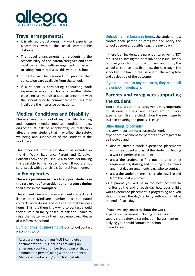

# **Travel arrangements?**

- It is advised that students find work experience placements within the usual commutable distance.
- The travel arrangements for students is the responsibility of the parent/caregiver and they must be satisfied with arrangements in regards to safety. You may discuss this with the school
- **Students will be required to provide their** concession card available from the school.
- If a student is considering conducting work experience away from home or another state, please ensure you discuss the arrangement with the school prior to commencement. This may invalidate the insurance obligations.

# **Medical Conditions and Disability**

Please advise the school of any disability, learning and support needs, medical condition, (e.g., diagnosed at risk of anaphylaxis) or restriction affecting your student that may affect the safety, wellbeing and supervision of the student in the workplace.

This important information should be included in the 6 - Work Experience Parent and Caregiver Consent Form and you should also consider making this available to the host employer. If you are not sure, speak with your child's General Practitioner.

# **In Emergencies**

**There are provisions in place to support studentsin the rare event of an accident or emergency during their time in the workplace.**

The student needs to carry a student contact card listing their Medicare number and nominated contacts both during and outside normal business hours. This lets them know who to contact should they sustain an injury or feel at risk and unable to raise the matter with their host employer. Please also inform the school.

**During normal business hours** our school contact is 02 6651 6898.

As a parent or carer, you MUST complete all documentation. This includes providing an emergency contact number (your own or that of a nominated person) along with the student's Medicare number and/or doctor's details.

**Outside normal business hours**, the student must contact their parent or caregiver and notify the school as soon as possible (e.g., the next day).

If there is an incident, the parent or caregiver is NOT required to investigate or resolve the issue: simply remove your child from risk of harm and notify the school as soon as possible (e.g., the next day). The school will follow up the issue with the workplace and advise you of the outcome.

**If your student has any concerns, they must call the school immediately.**

# **Parents and caregivers supporting the student**

Your role as a parent or caregiver is very important to student success and enjoyment of work experience. Use the checklist on the next page to assist in ensuring the process is easy.

#### **Other things to consider**

It is very important for a successful work experience placement for parents and caregivers to be involved and:

- discuss suitable work experience placements with the student and assist the student in finding a work experience placement;
- assist the student to find out about clothing requirements, starting and finishing times, meals and first day arrangements e.g., who to contact;
- assist the student in organising safe travel to and from the host employer.

As a parent you will be in the best position to monitor at the end of each day how your child's work experience placement is progressing and you should discuss the day's activity with your child at the end of each day.

If you have any concerns about the work experience placement including concerns about supervision, safety, discrimination, harassment or bullying you should contact the school immediately.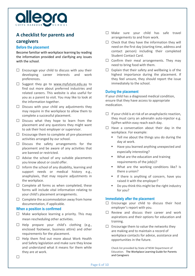

# **A checklist for parents and caregivers**

# **Before the placement**

Become familiar with workplace learning by reading the information provided and clarifying any issues with the school.

- $\Box$  Encourage your child to discuss with you their developing career interests and work preferences.
- $\Box$  Suggest they go to [www.myfuture.edu.au](about:blank) to find out more about preferred industries and related careers. This website is also useful for you as a parent to visit. You may like to look at the information together.
- $\square$  Discuss with your child any adjustments they may require in the workplace to allow them to complete a successful placement.
- $\Box$  Discuss what they hope to learn from the placement and any questions they might want to ask their host employer or supervisor.
- $\Box$  Encourage them to complete all pre-placement activities arranged by our school.
- $\Box$  Discuss the safety arrangements for the placement and be aware of any activities that are banned or restricted.
- $\Box$  Advise the school of any suitable placements you know about or could offer.
- $\Box$  Inform the school of any disability, learning and support needs or medical history e.g., anaphylaxis, that may require adjustments in the workplace.
- $\Box$  Complete all forms as when completed, these forms will include vital information relating to your child's placement arrangements.
- $\Box$  Complete the accommodation away from home documentation, if applicable.

## **When a position is confirmed**

 $\Box$ 

- $\Box$  Make workplace learning a priority. This may mean rescheduling other activities.
- $\Box$  Help prepare your child's clothing (e.g., enclosed footwear, business attire) and other requirements for the placement.
- $\Box$  Help them find out more about Work Health and Safety legislation and make sure they know and understand what it means for them while they are at work.
- $\Box$  Make sure your child has safe travel arrangements to and from work.
- $\Box$  Check that they have the information they will need on the first day (starting time, address and contact person) including their completed Student Contact Card.
- $\Box$  Confirm their meal arrangements. They may need to bring food with them.
- $\Box$  Explain that their safety and wellbeing is of the highest importance during the placement. If they feel unsure, they should report the issue immediately to the school.

## **During the placement**

If your child has a diagnosed medical condition, ensure that they have access to appropriate medication.

- $\Box$  If your child is at risk of an anaphylactic reaction, they must carry an adrenalin auto-injector e.g. EpiPen within easy reach each day.
- $\Box$  Have a conversation about their day in the workplace. For example:
	- Tell me about the things you do during the day at work.
	- Have you learned anything unexpected and especially interesting?
	- What are the education and training requirements of the job(s)?
	- **What are the working conditions like?** Is there a union?
	- If there is anything of concern, have you raised it with the employer?
	- Do you think this might be the right industry for you?

## **Immediately after the placement**

- $\Box$  Encourage your child to discuss their host employer's report with you.
- $\Box$  Review and discuss their career and work aspirations and their options for education and training.
- $\Box$  Encourage them to value the networks they are making and to maintain a record of workplace contacts for advice, assistance and opportunities in the future.

Check list provided by State of NSW Department of Education. The Workplace Learning Guide for Parents and Caregivers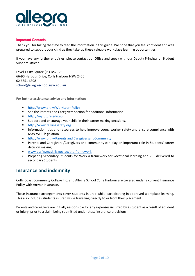

# **Important Contacts**

Thank you for taking the time to read the information in this guide. We hope that you feel confident and well prepared to support your child as they take up these valuable workplace learning opportunities.

If you have any further enquiries, please contact our Office and speak with our Deputy Principal or Student Support Officer.

Level 1 City Square (PO Box 173) 66-90 Harbour Drive, Coffs Harbour NSW 2450 02 6651 6898 [school@allegraschool.nsw.edu.au](about:blank)

**For further assistance, advice and information:**

- [http://www.bit.ly/WorkLearnPolicy](about:blank)
- See the Parents and Caregivers section for additional information.
- [http://myfuture.edu.au](about:blank)
- Support and encourage your child in their career making decisions.
- [http://www.talkingsafety.org](about:blank)
- **Information, tips and resources to help improve young worker safety and ensure compliance with** NSW WHS legislation.
- http://www.bit.ly/Parents [and CaregiversandCommunity](about:blank)
- Parents and Caregivers /Caregivers and community can play an important role in Students' career decision making.
- [www.pssfw.myskills.gov.au/the-framework](about:blank)
- Preparing Secondary Students for Work-a framework for vocational learning and VET delivered to secondary Students.

# **Insurance and indemnity**

Coffs Coast Community College Inc. and Allegra School Coffs Harbour are covered under a current Insurance Policy with Ansvar Insurance.

These insurance arrangements cover students injured while participating in approved workplace learning. This also includes students injured while travelling directly to or from their placement.

Parents and caregivers are initially responsible for any expenses incurred by a student as a result of accident or injury, prior to a claim being submitted under these insurance provisions.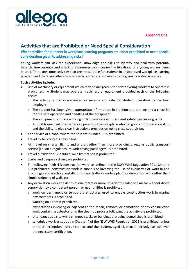



# **Activities that are Prohibited or Need Special Consideration**

**What activities for students in workplace learning programs are either prohibited or need special consideration given to addressing risks?** 

Young workers can lack the experience, knowledge and skills to identify and deal with potential hazards. Inexperience and a lack of awareness can increase the likelihood of a young worker being injured. There are some activities that are not suitable for students in an approved workplace learning program and there are others where special consideration needs to be given to addressing risks.

## **Such activities include:**

- Use of machinery or equipment which may be dangerous for new or young workers to operate is prohibited. A Student may operate machinery or equipment provided each of the following occurs:
	- o The activity is first risk-assessed as suitable and safe for student operation by the host employer.
	- $\circ$  The student has been given appropriate information, instruction and training and a checklist for the safe operation and handling of the equipment.
	- $\circ$  The equipment is in safe working order, complete with required safety devices or guards.
	- $\circ$  A suitably qualified or experienced person in the workplace who has good communication skills and the ability to give clear instructions provides on-going close supervision.
- The service of alcohol where the student is under 18 is prohibited.
- Travel by helicopter is prohibited.
- Air travel on charter flights and aircraft other than those providing a regular public transport service (i.e. on a regular route with paying passengers) is prohibited.
- Travel outside the 12 nautical mile limit at sea is prohibited.
- Scuba and deep-sea diving are prohibited.
- The following 'high risk construction work' as defined in the NSW WHS Regulation 2011 Chapter 6 is prohibited: construction work in tunnels or involving the use of explosives or work in and around gas and electrical installations; near traffic or mobile plant, or demolition work other than simple stripping of walls etc.
- Any excavation work at a depth of one metre or more, at a depth under one metre without direct supervision by a competent person, or near utilities is prohibited.
	- $\circ$  work on permanent or temporary structures used to enable construction work in marine environments is prohibited.
	- $\circ$  working on a roof is prohibited.
	- $\circ$  any activities involving or adjacent to the repair, removal or demolition of any construction work containing asbestos or in the clean-up process following the activity are prohibited.
	- $\circ$  attendance at a site while chimney stacks or buildings are being demolished is prohibited.
	- $\circ$  scheduled work as set out in Chapter 4 of the NSW WHS Regulation 2011 is prohibited, unless there are exceptional circumstances and the student, aged 18 or over, already has achieved the necessary certification.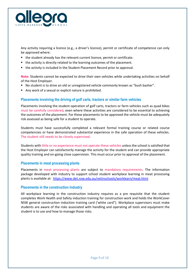

Any activity requiring a licence (e.g., a driver's licence), permit or certificate of competence can only be approved where:

- the student already has the relevant current licence, permit or certificate.
- the activity is directly related to the learning outcomes of the placement.
- the activity is included in the Student Placement Record prior to approval.

**Note:** Students cannot be expected to drive their own vehicles while undertaking activities on behalf of the Host Employer.

- No student is to drive an old or unregistered vehicle commonly known as "bush basher".
- Any work of a sexual or explicit nature is prohibited.

# **Placements involving the driving of golf carts, tractors or similar farm vehicles**

Placements involving the student operation of golf carts, tractors or farm vehicles such as quad bikes must be carefully considered, even where these activities are considered to be essential to achieving the outcomes of the placement. For these placements to be approved the vehicle must be adequately risk assessed as being safe for a student to operate.

Students must have successfully completed a relevant formal training course or related course competencies or have demonstrated substantial experience in the safe operation of these vehicles. The student still needs to be closely supervised.

Students with little or no experience must not operate these vehicles unless the school is satisfied that the Host Employer can satisfactorily manage the activity for the student and can provide appropriate quality training and on-going close supervision. This must occur prior to approval of the placement.

#### **Placements in meat processing plants**

Placements in meat processing plants are subject to mandatory requirements. The information package developed with industry to support school student workplace learning in meat processing plants is available at: [https://www.det.nsw.edu.au/vetinschools/worklearn/meat.html](about:blank)

## **Placements in the construction industry**

All workplace learning in the construction industry requires as a pre requisite that the student completes Work Health and Safety induction training for construction work and holds the WorkCover NSW general construction induction training card ('white card"). Workplace supervisors must make students are aware of the risks associated with handling and operating all tools and equipment the student is to use and how to manage those risks.